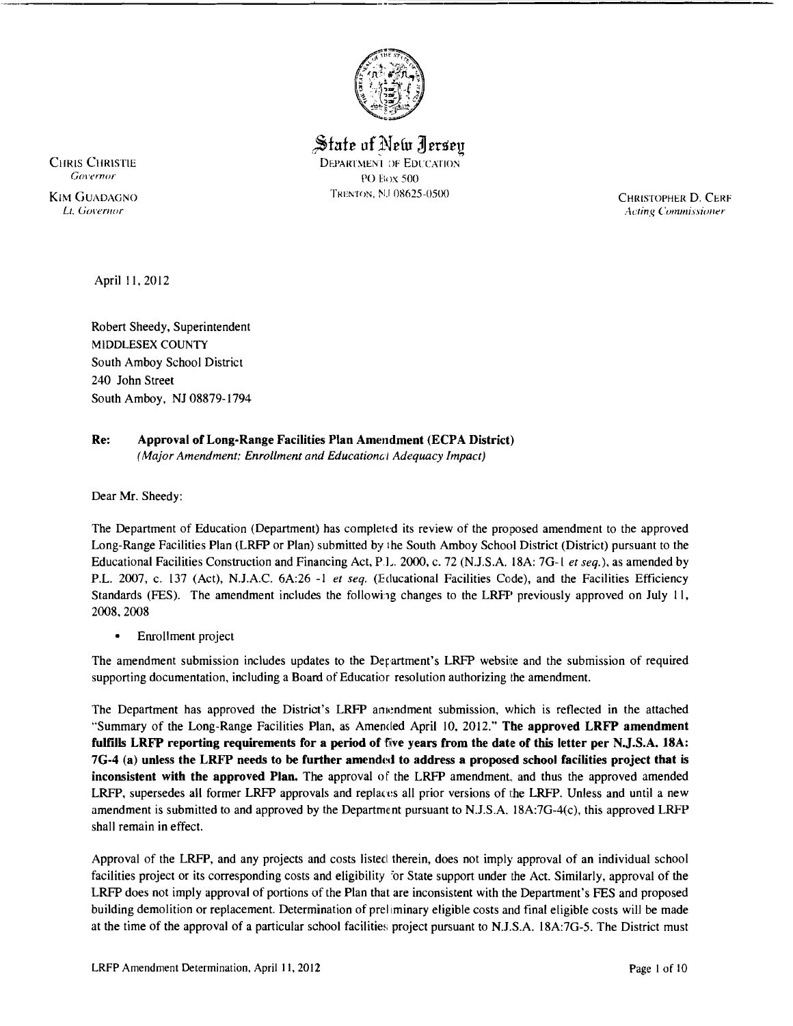

State of New Jersey CHRIS CHRISTIE DEPARTMENT OF EDUCATION<br>
COVETTOR CONTROL *('0\'ernor* 1'0 f:, JX 500 TRENTON, NJ 08625-0500 CHRISTOPHER D. CERF (CHRISTOPHER D. CERF

Lt. Governor **Commissioner** Acting Commissioner **Acting Commissioner Acting Commissioner** 

April II, 2012

Robert Sheedy, Superintendent MIDDLESEX COUNTY South Amboy School District 240 John Street South Amboy, NJ 08879-1794

#### Re: Approval of Long-Range Facilities Plan Amendment (ECPA District) *(Major Amendment; Enrollment and EducationGI Adequacy Impact)*

Dear Mr. Sheedy:

The Department of Education (Department) has completed its review of the proposed amendment to the approved Long-Range Facilities Plan (LRFP or Plan) submitted by the South Amboy School District (District) pursuant to the Educational Facilities Construction and Financing Act, PI-. 2000, c. 72 (NJ.S.A. 18A: 7G-I *et seq.),* as amended by P.L. 2007, c. 137 (Act), NJ.A.C. 6A:26 -I *et seq.* (lEducational Facilities Code), and the Facilities Efficiency Standards (FES). The amendment includes the following changes to the LRFP previously approved on July 11, 2008,2008

• Enrollment project

The amendment submission includes updates to the Department's LRFP website and the submission of required supporting documentation, including a Board of Educatior resolution authorizing the amendment.

The Department has approved the District's LRFP amendment submission, which is reflected in the attached "Summary of the Long-Range Facilities Plan, as Amended April 10, 2012." The approved LRFP amendment fulfills LRFP reporting requirements for a period of five years from the date of this letter per N.J.S.A. 18A: 7G-4 (a) unless the LRFP needs to be further amended to address a proposed school facilities project that is inconsistent with the approved Plan. The approval of the LRFP amendment, and thus the approved amended LRFP, supersedes all former LRFP approvals and replaces all prior versions of the LRFP. Unless and until a new amendment is submitted to and approved by the Department pursuant to NJ.S.A. 18A:7G-4(c), this approved LRFP shall remain in effect.

Approval of the LRFP, and any projects and costs listed therein, does not imply approval of an individual school facilities project or its corresponding costs and eligibility 'or State support under the Act. Similarly, approval of the LRFP does not imply approval of portions of the Plan that are inconsistent with the Department's PES and proposed building demolition or replacement. Determination of prel iminary eligible costs and final eligible costs will be made at the time of the approval of a particular school facilities project pursuant to N.J.S.A. 18A:7G-5. The District must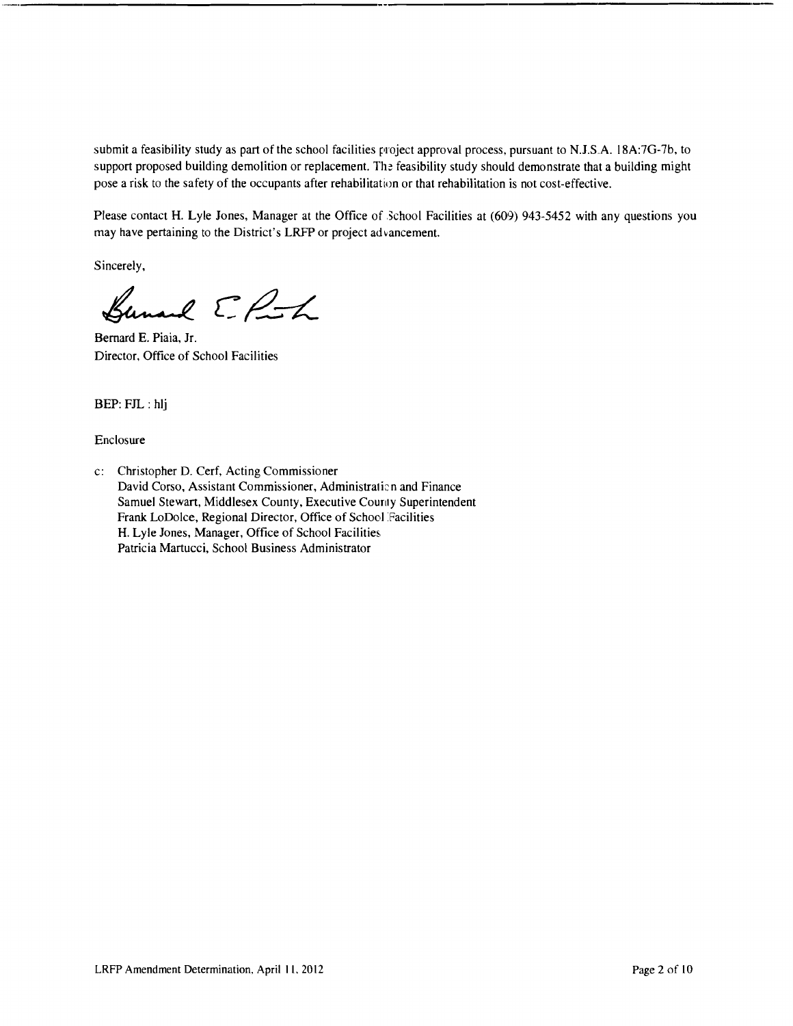submit a feasibility study as part of the school facilities project approval process, pursuant to N.J.S.A. 18A:7G-7b, to support proposed building demolition or replacement. The feasibility study should demonstrate that a building might pose a risk to the safety of the occupants after rehabilitation or that rehabilitation is not cost-effective.

Please contact H. Lyle Jones, Manager at the Office of School Facilities at (609) 943-5452 with any questions you may have pertaining to the District's LRFP or project advancement.

Sincerely,

Bunard E. Post

Bernard E. Piaia, Jr. Director, Office of School Facilities

BEP: FJL : hlj

Enclosure

c: Christopher D. Cerf, Acting Commissioner David Corso, Assistant Commissioner, Administration and Finance Samuel Stewart, Middlesex County, Executive Counly Superintendent Frank LoDolce, Regional Director, Office of School Facilities H. Lyle Jones, Manager, Office of School Facilities. Patricia Martucci. School Business Administrator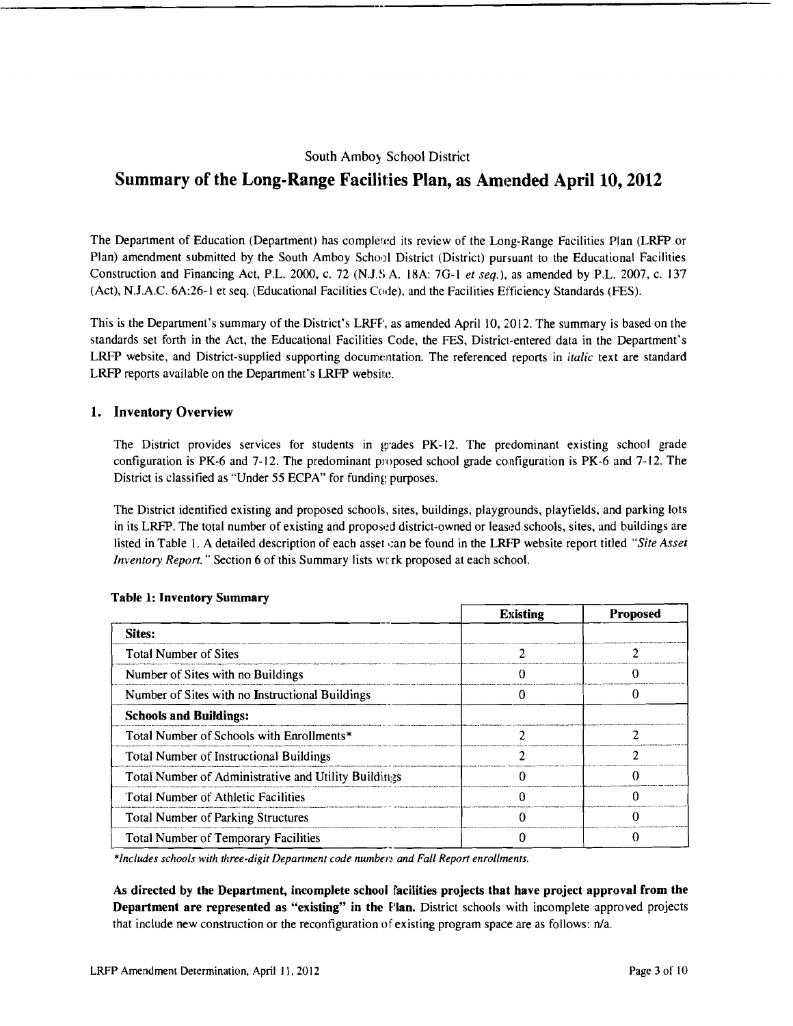## South Ambo) School District

# Summary of the Long-Range Facilities Plan, as Amended April 10, 2012

The Department of Education (Department) has completed its review of the Long-Range Facilities Plan (LRFP or Plan) amendment submitted by the South Amboy School District (District) pursuant to the Educational Facilities Construction and Financing Act, P.L. 2000, c. 72 (N.J.SA. 18A: 7G-I *et seq.),* as amended by P.L. 2007, c. 137 (Act), NJ.A.C. 6A:26-1 et seq. (Educational Facilities Code), and the Facilities Efficiency Standards (FES).

This is the Department's summary of the District's LRFF', as amended April 10, 2012. The summary is based on the standards set forth in the Act, the Educational Facilities Code, the FES, District-entered data in the Department's LRFP website, and District-supplied supporting documentation. The referenced reports in *italic* text are standard LRFP reports available on the Department's LRFP website.

### 1. Inventory Overview

The District provides services for students in wades PK-12. The predominant existing school grade configuration is PK-6 and 7-12. The predominant proposed school grade configuration is PK-6 and 7-12. The District is classified as "Under 55 ECPA" for funding purposes.

The District identified existing and proposed schools, sites, buildings, playgrounds, playfields, and parking lots in its LRFP. The total number of existing and proposed district-owned or leased schools, sites, and buildings are listed in Table 1. A detailed description of each asset can be found in the LRFP website report titled "Site Asset *Inventory Report.* " Section 6 of this Summary lists werk proposed at each school.

|                                                      | <b>Existing</b> | <b>Proposed</b> |
|------------------------------------------------------|-----------------|-----------------|
| Sites:                                               |                 |                 |
| <b>Total Number of Sites</b>                         |                 |                 |
| Number of Sites with no Buildings                    |                 |                 |
| Number of Sites with no Instructional Buildings      |                 |                 |
| <b>Schools and Buildings:</b>                        |                 |                 |
| Total Number of Schools with Enrollments*            |                 |                 |
| <b>Total Number of Instructional Buildings</b>       |                 | າ               |
| Total Number of Administrative and Utility Buildings |                 |                 |
| Total Number of Athletic Facilities                  |                 |                 |
| <b>Total Number of Parking Structures</b>            |                 |                 |
| <b>Total Number of Temporary Facilities</b>          |                 |                 |

#### Table 1: Inventory Summary

\*Includes schools with three-digit Department code numbers and Fall Report enrollments.

As directed by the Department, incomplete school facilities projects that have project approval from the Department are represented as "existing" in the Plan. District schools with incomplete approved projects that include new construction or the reconfiguration of existing program space are as follows: n/a.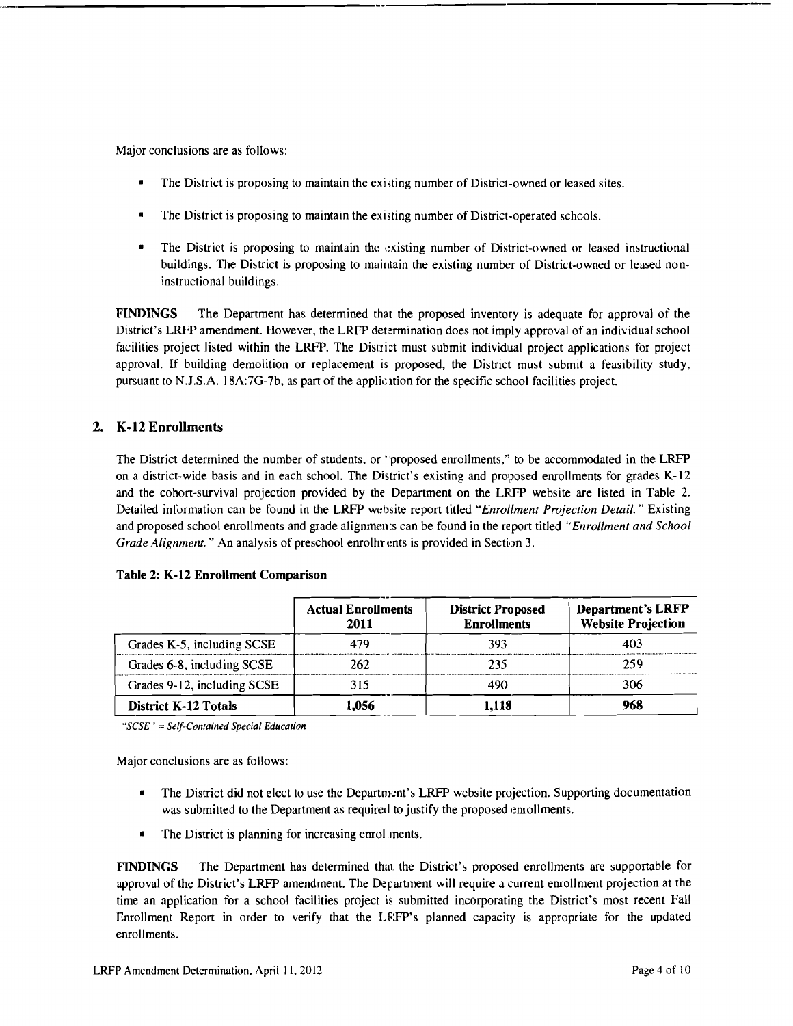Major conclusions are as follows:

- The District is proposing to maintain the existing number of District-owned or leased sites.
- The District is proposing to maintain the existing number of District-operated schools.
- The District is proposing to maintain the existing number of District-owned or leased instructional buildings. The District is proposing to maintain the existing number of District-owned or leased noninstructional buildings.

FINDINGS The Department has determined that the proposed inventory is adequate for approval of the District's LRFP amendment. However, the LRFP determination does not imply approval of an individual school facilities project listed within the LRFP. The District must submit individual project applications for project approval. If building demolition or replacement is proposed, the District must submit a feasibility study, pursuant to N.J.S.A. 18A:7G-7b, as part of the application for the specific school facilities project.

# 2. K·12 Enrollments

The District determined the number of students, or 'proposed enrollments," to be accommodated in the LRFP on a district-wide basis and in each school. The District's existing and proposed enrollments for grades K-12 and the cohort-survival projection provided by the Department on the LRFP website are listed in Table 2. Detailed information can be found in the LRFP website report titled *"Enrollment Projection Detail.* " Existing and proposed school enrollments and grade alignments can be found in the report titled "*Enrollment and School Grade Alignment."* An analysis of preschool enrollments is provided in Section 3.

|  |  |  |  | Table 2: K-12 Enrollment Comparison |
|--|--|--|--|-------------------------------------|
|--|--|--|--|-------------------------------------|

|                             | <b>Actual Enrollments</b><br>2011 | <b>District Proposed</b><br><b>Enrollments</b> | <b>Department's LRFP</b><br><b>Website Projection</b> |
|-----------------------------|-----------------------------------|------------------------------------------------|-------------------------------------------------------|
| Grades K-5, including SCSE  | 479                               | 393                                            | 403                                                   |
| Grades 6-8, including SCSE  | 262                               | 235                                            | 259                                                   |
| Grades 9-12, including SCSE | 315                               |                                                | 306                                                   |
| <b>District K-12 Totals</b> | 1.056                             | 1.118                                          | 968                                                   |

*"SCSE"* = *Self-Contained Special Education* 

Major conclusions are as follows:

- The District did not elect to use the Department's LRFP website projection. Supporting documentation was submitted to the Department as required to justify the proposed enrollments.
- The District is planning for increasing enrol ments.

**FINDINGS** The Department has determined that the District's proposed enrollments are supportable for approval of the District's LRFP amendment. The Department will require a current enrollment projection at the time an application for a school facilities project is submitted incorporating the District's most recent Fall Enrollment Report in order to verify that the LRFP's planned capacity is appropriate for the updated enrollments.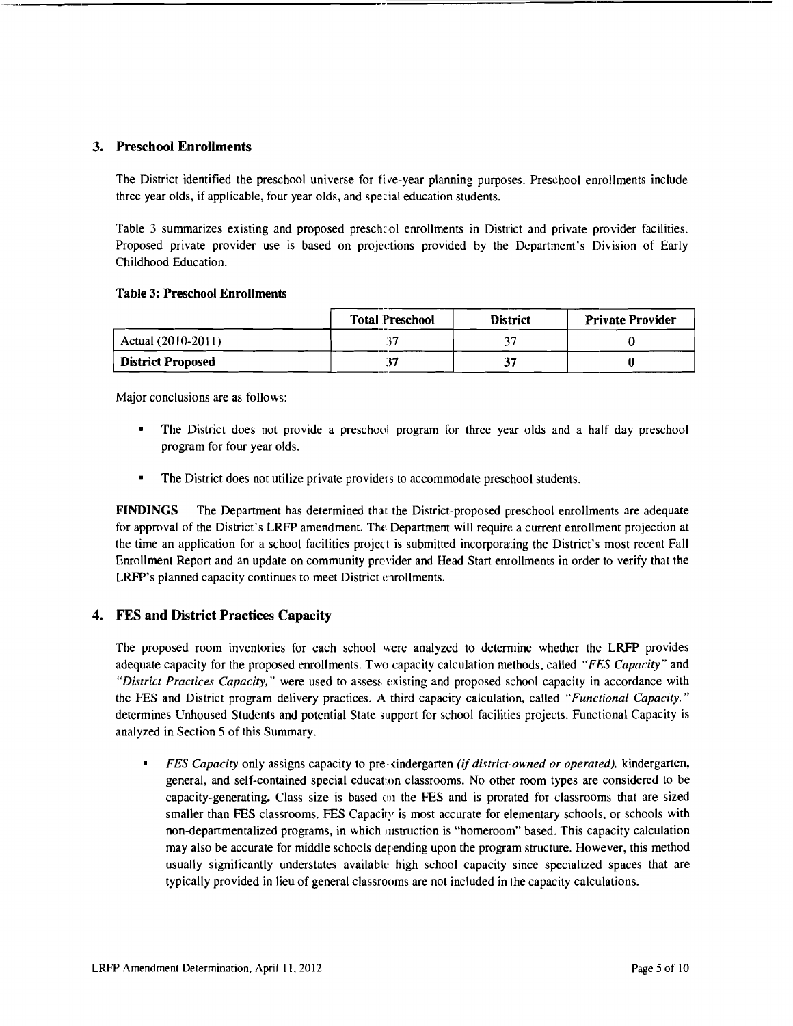### 3. Preschool Enrollments

The District identified the preschool universe for five-year planning purposes. Preschool enrollments include three year olds, if applicable, four year olds, and special education students.

Table 3 summarizes existing and proposed preschool enrollments in District and private provider facilities. Proposed private provider use is based on projections provided by the Department's Division of Early Childhood Education.

#### Table 3: Preschool Enrollments

|                          | <b>Total Preschool</b> | <b>District</b> | <b>Private Provider</b> |
|--------------------------|------------------------|-----------------|-------------------------|
| Actual (2010-2011)       |                        |                 |                         |
| <b>District Proposed</b> |                        |                 | a                       |

Major conclusions are as follows:

- The District does not provide a preschool program for three year olds and a half day preschool program for four year olds.
- The District does not utilize private providers to accommodate preschool students.

FINDINGS The Department has determined that the District-proposed preschool enrollments are adequate for approval of the District's LRFP amendment. The Department will require a current enrollment projection at the time an application for a school facilities project is submitted incorporating the District's most recent Fall Enrollment Report and an update on community provider and Head Start enrollments in order to verify that the LRFP's planned capacity continues to meet District e rrollments.

### 4. FES and District Practices Capacity

The proposed room inventories for each school were analyzed to determine whether the LRFP provides adequate capacity for the proposed enrollments. Two capacity calculation methods, called *"FES Capacity"* and *"District Practices Capacity,"* were used to assess existing and proposed school capacity in accordance with the PES and District program delivery practices. A third capacity calculation, called *"Functional Capacity."*  determines Unhoused Students and potential State support for school facilities projects. Functional Capacity is analyzed in Section 5 of this Summary.

*FES Capacity* only assigns capacity to pre-<indergarten *(if district-owned or operated).* kindergarten, general, and self-contained special educaton classrooms. No other room types are considered to be capacity-generating. Class size is based on the FES and is prorated for classrooms that are sized smaller than FES classrooms. FES Capacity is most accurate for elementary schools, or schools with non-departmentalized programs, in which instruction is "homeroom" based. This capacity calculation may also be accurate for middle schools depending upon the program structure. However, this method usually significantly understates available high school capacity since specialized spaces that are typically provided in lieu of general classrooms are not included in the capacity calculations.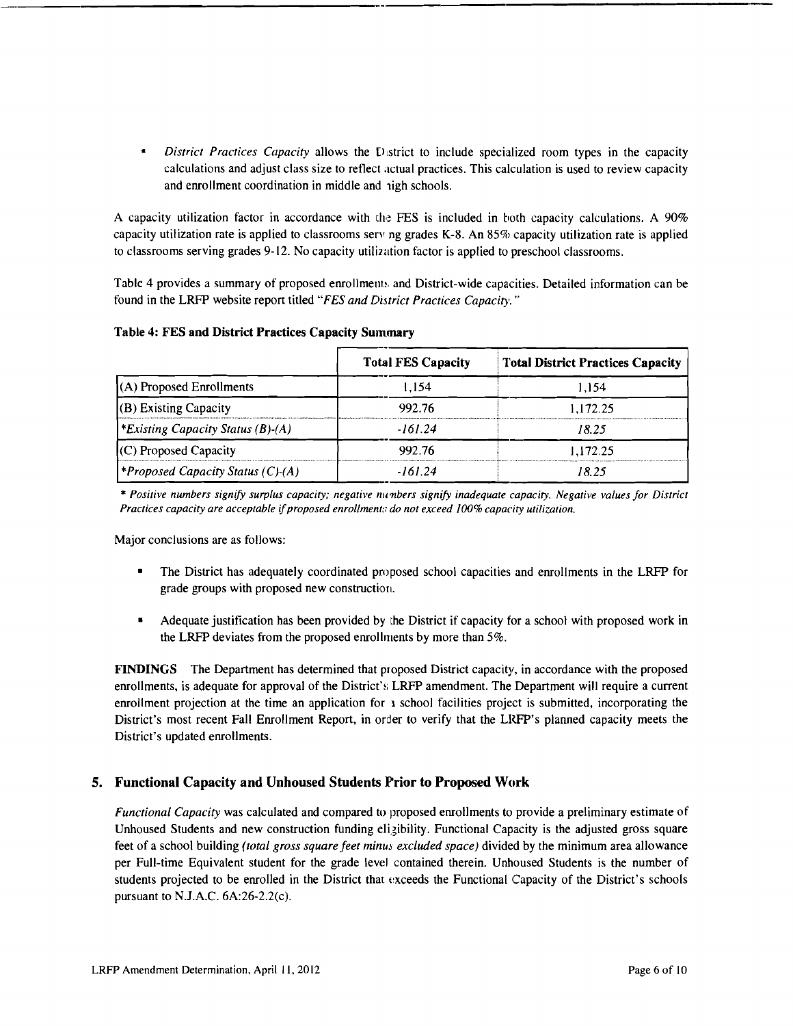$\bullet$ District Practices Capacity allows the District to include specialized room types in the capacity calculations and adjust class size to reflect actual practices. This calculation is used to review capacity and enrollment coordination in middle and nigh schools.

A capacity utilization factor in accordance with the FES is included in both capacity calculations. A 90% capacity utilization rate is applied to classrooms serv ng grades  $K-8$ . An 85% capacity utilization rate is applied to classrooms serving grades 9-12. No capacity utilization factor is applied to preschool classrooms.

Table 4 provides a summary of proposed enrollments and District-wide capacities. Detailed information can be found in the LRFP website report titled "FES and District Practices Capacity."

|                                                 | <b>Total FES Capacity</b> | <b>Total District Practices Capacity</b> |
|-------------------------------------------------|---------------------------|------------------------------------------|
| (A) Proposed Enrollments                        | 1.154                     | 1.154                                    |
| $(B)$ Existing Capacity                         | 992.76                    | 1.172.25                                 |
| *Existing Capacity Status $(B)$ - $(A)$         | -161.24                   | 18 25                                    |
| $(C)$ Proposed Capacity                         | 992.76                    | 1.172.25                                 |
| <i><b>*Proposed Capacity Status (C)-(A)</b></i> | -161 24                   | 18 25                                    |

#### **Table 4: FES and District Practices Capacity Summary**

\* Positive numbers signify surplus capacity; negative numbers signify inadequate capacity. Negative values for District Practices capacity are acceptable if proposed enrollments do not exceed 100% capacity utilization.

Major conclusions are as follows:

- The District has adequately coordinated proposed school capacities and enrollments in the LRFP for grade groups with proposed new construction.
- Adequate justification has been provided by the District if capacity for a school with proposed work in the LRFP deviates from the proposed enrollments by more than 5%.

FINDINGS The Department has determined that proposed District capacity, in accordance with the proposed enrollments, is adequate for approval of the District's LRFP amendment. The Department will require a current enrollment projection at the time an application for a school facilities project is submitted, incorporating the District's most recent Fall Enrollment Report, in order to verify that the LRFP's planned capacity meets the District's updated enrollments.

### 5. Functional Capacity and Unhoused Students Prior to Proposed Work

Functional Capacity was calculated and compared to proposed enrollments to provide a preliminary estimate of Unhoused Students and new construction funding eligibility. Functional Capacity is the adjusted gross square feet of a school building *(total gross square feet minus excluded space)* divided by the minimum area allowance per Full-time Equivalent student for the grade level contained therein. Unhoused Students is the number of students projected to be enrolled in the District that exceeds the Functional Capacity of the District's schools pursuant to N.J.A.C.  $6A:26-2.2(c)$ .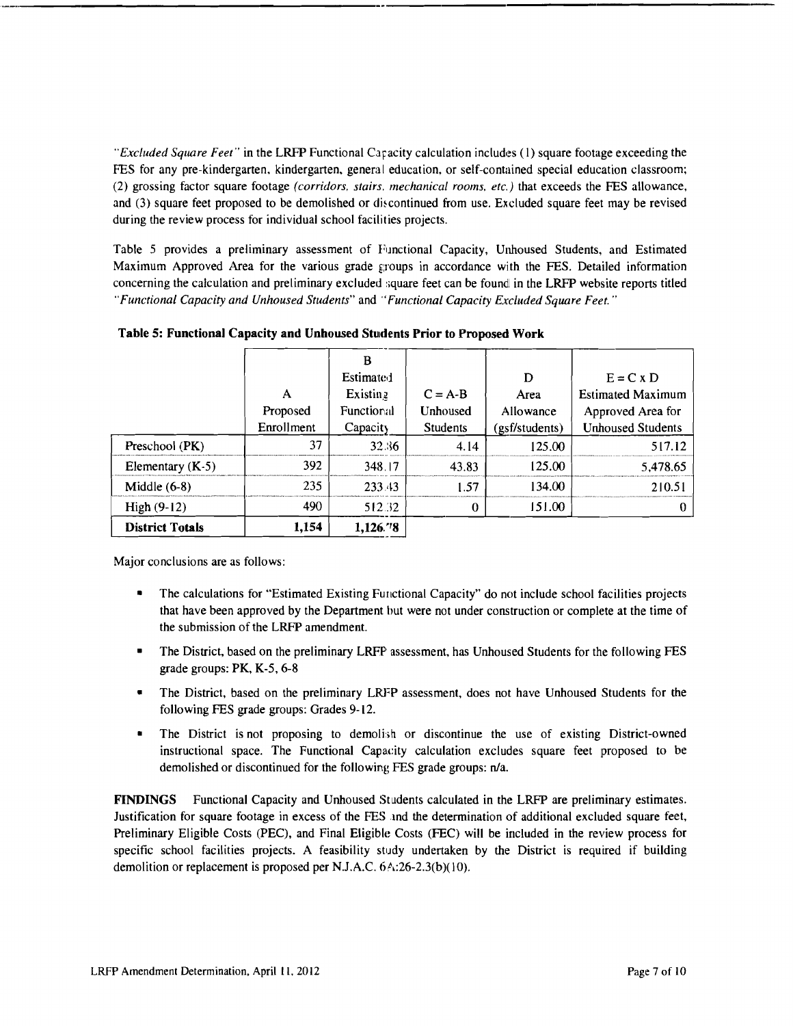"Excluded Square Feet" in the LRFP Functional Caracity calculation includes (1) square footage exceeding the FES for any pre-kindergarten, kindergarten, general education, or self-contained special education classroom; (2) grossing factor square footage (corridors, stairs, mechanical rooms, etc.) that exceeds the FES allowance, and (3) square feet proposed to be demolished or discontinued from use. Excluded square feet may be revised during the review process for individual school facilities projects.

Table 5 provides a preliminary assessment of Functional Capacity, Unhoused Students, and Estimated Maximum Approved Area for the various grade groups in accordance with the FES. Detailed information concerning the calculation and preliminary excluded square feet can be found in the LRFP website reports titled "Functional Capacity and Unhoused Students" and "Functional Capacity Excluded Square Feet."

| <b>District Totals</b> | 1,154      | 1,126.78   |                 |                |                          |
|------------------------|------------|------------|-----------------|----------------|--------------------------|
| High $(9-12)$          | 490        | 512.32     | 0               | 151.00         |                          |
| Middle $(6-8)$         | 235        | 233.43     | 1.57            | 134.00         | 210.51                   |
| Elementary $(K-5)$     | 392        | 348.17     | 43.83           | 125.00         | 5,478.65                 |
| Preschool (PK)         | 37         | 32.36      | 4.14            | 125.00         | 517.12                   |
|                        | Enrollment | Capacity   | <b>Students</b> | (gsf/students) | <b>Unhoused Students</b> |
|                        | Proposed   | Functional | Unhoused        | Allowance      | Approved Area for        |
|                        | A          | Existing   | $C = A-B$       | Area           | <b>Estimated Maximum</b> |
|                        |            | Estimated  |                 | D              | $E = C \times D$         |
|                        |            | В          |                 |                |                          |

Table 5: Functional Capacity and Unhoused Students Prior to Proposed Work

Major conclusions are as follows:

- The calculations for "Estimated Existing Functional Capacity" do not include school facilities projects that have been approved by the Department but were not under construction or complete at the time of the submission of the LRFP amendment.
- The District, based on the preliminary LRFP assessment, has Unhoused Students for the following FES grade groups:  $PK$ ,  $K-5$ ,  $6-8$
- The District, based on the preliminary LRFP assessment, does not have Unhoused Students for the following FES grade groups: Grades 9-12.
- The District is not proposing to demolish or discontinue the use of existing District-owned instructional space. The Functional Capacity calculation excludes square feet proposed to be demolished or discontinued for the following FES grade groups: n/a.

FINDINGS Functional Capacity and Unhoused Students calculated in the LRFP are preliminary estimates. Justification for square footage in excess of the FES and the determination of additional excluded square feet, Preliminary Eligible Costs (PEC), and Final Eligible Costs (FEC) will be included in the review process for specific school facilities projects. A feasibility study undertaken by the District is required if building demolition or replacement is proposed per N.J.A.C. 6A:26-2.3(b)(10).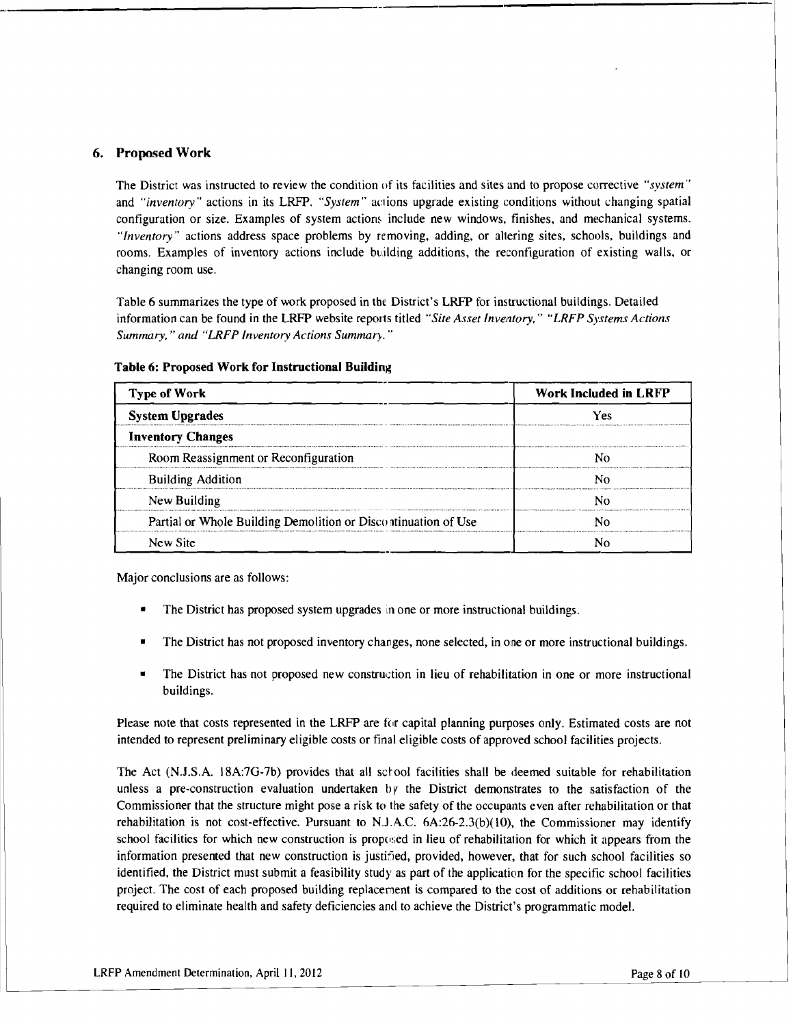#### 6. Proposed Work

The District was instructed to review the condition of its facilities and sites and to propose corrective *"system"*  and *"inventory*" actions in its LRFP. "System" actions upgrade existing conditions without changing spatial configuration or size. Examples of system actions include new windows, finishes, and mechanical systems. *"Inventory"* actions address space problems by removing, adding, or aHering sites, schools, buildings and rooms. Examples of inventory actions include building additions, the reconfiguration of existing walls, or changing room use.

Table 6 summarizes the type of work proposed in the District's LRFP for instructional buildings. Detailed information can be found in the LRFP website reports titled *"Site Asset Inventory," "LRFP Systems Actions* Summary," and "LRFP Inventory Actions Summary."

| Type of Work                                                   | <b>Work Included in LRFP</b> |  |  |
|----------------------------------------------------------------|------------------------------|--|--|
| <b>System Upgrades</b>                                         | Yes                          |  |  |
| <b>Inventory Changes</b>                                       |                              |  |  |
| Room Reassignment or Reconfiguration                           |                              |  |  |
| <b>Building Addition</b>                                       |                              |  |  |
| New Building                                                   |                              |  |  |
| Partial or Whole Building Demolition or Discontinuation of Use |                              |  |  |
| New Site                                                       |                              |  |  |

#### Table 6: Proposed Work for Instructional Building

Major conclusions are as follows:

- The District has proposed system upgrades in one or more instructional buildings.
- The District has not proposed inventory changes, none selected, in one or more instructional buildings.
- The District has not proposed new construction in lieu of rehabilitation in one or more instructional buildings.

Please note that costs represented in the LRFP are for capital planning purposes only. Estimated costs are not intended to represent preliminary eligible costs or final eligible costs of approved school facilities projects.

The Act (N.J.S.A. 18A:7G-7b) provides that all school facilities shall be deemed suitable for rehabilitation unless a pre-construction evaluation undertaken by the District demonstrates to the satisfaction of the Commissioner that the structure might pose a risk to the safety of the occupants even after rehabilitation or that rehabilitation is not cost-effective. Pursuant to N.J.A.C.  $6A:26-2.3(b)(10)$ , the Commissioner may identify school facilities for which new construction is proposed in lieu of rehabilitation for which it appears from the information presented that new construction is justified, provided, however, that for such school facilities so identified, the District must submit a feasibility study as part of the application for the specific school facilities project. The cost of each proposed building replacement is compared to the cost of additions or rehabilitation required to eliminate health and safety deficiencies and to achieve the District's programmatic model.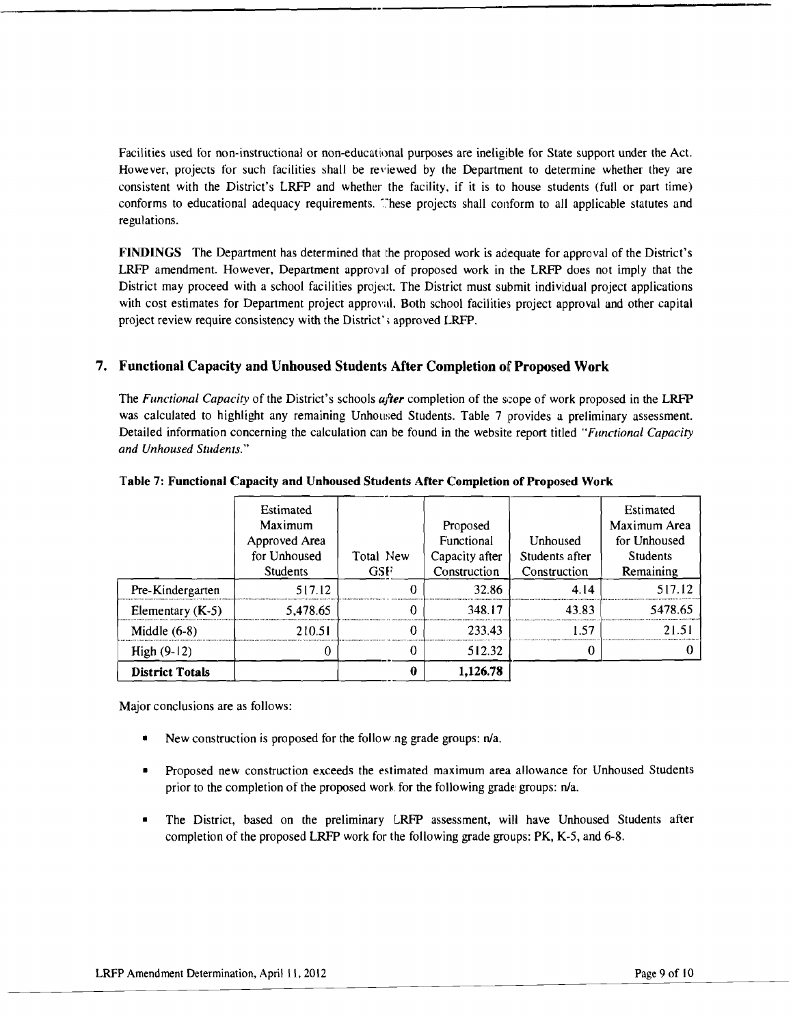Facilities used for non-instructional or non-educational purposes are ineligible for State support under the Act. However, projects for such facilities shall be reviewed by the Department to determine whether they are consistent with the District's LRFP and whether the facility, if it is to house students (full or part time) conforms to educational adequacy requirements. These projects shall conform to all applicable statutes and regulations.

FINDINGS The Department has determined that the proposed work is adequate for approval of the District's LRFP amendment. However, Department approval of proposed work in the LRFP does not imply that the District may proceed with a school facilities project. The District must submit individual project applications with cost estimates for Department project approval. Both school facilities project approval and other capital project review require consistency with the District's approved LRFP.

#### 7. Functional Capacity and Unhoused Students After Completion of Proposed Work

The *Functional Capacity* of the District's schools *after* completion of the scope of work proposed in the LRFP was calculated to highlight any remaining Unhoused Students. Table 7 provides a preliminary assessment. Detailed information concerning the calculation can be found in the website report titled *"Functional Capacity and Unhoused Students."* 

|                        | Estimated       |            |                   |                | Estimated       |
|------------------------|-----------------|------------|-------------------|----------------|-----------------|
|                        | Maximum         |            | Proposed          |                | Maximum Area    |
|                        | Approved Area   |            | <b>Functional</b> | Unhoused       | for Unhoused    |
|                        | for Unhoused    | Total New  | Capacity after    | Students after | <b>Students</b> |
|                        | <b>Students</b> | <b>GSF</b> | Construction      | Construction   | Remaining       |
| Pre-Kindergarten       | 517.12          | O          | 32.86             | 4.14           | 517.12          |
| Elementary $(K-5)$     | 5.478.65        | 0          | 348.17            | 43.83          | 5478.65         |
| Middle $(6-8)$         | 210.51          | 0          | 233.43            | 1.57           | 21.51           |
| High $(9-12)$          |                 |            | 512.32            |                |                 |
| <b>District Totals</b> |                 |            | 1,126.78          |                |                 |

#### Table 7: Functional Capacity and Unhoused Students After Completion of Proposed Work

Major conclusions are as follows:

- New construction is proposed for the following grade groups:  $n/a$ .
- Proposed new construction exceeds the estimated maximum area allowance for Unhoused Students prior to the completion of the proposed work for the following grade: groups: n/a.
- • The District, based on the preliminary LRFP assessment, will have Unhoused Students after completion of the proposed LRFP work for the following grade groups: PK, K-5, and 6-8.